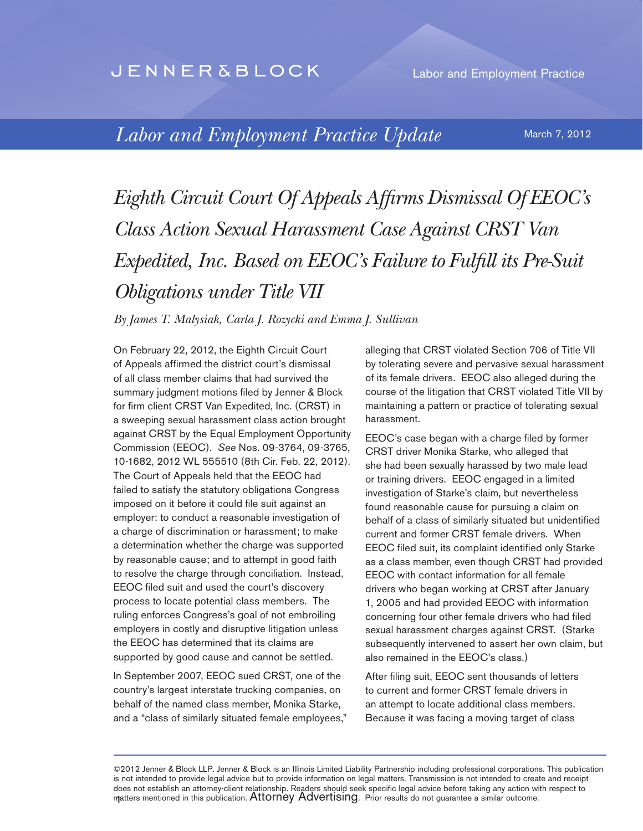## **JENNER & BLOCK**

*Labor and Employment Practice Update*

March 7, 2012

*Eighth Circuit Court Of Appeals Affirms Dismissal Of EEOC's Class Action Sexual Harassment Case Against CRST Van Expedited, Inc. Based on EEOC's Failure to Fulfill its Pre-Suit Obligations under Title VII*

## *By James T. Malysiak, Carla J. Rozycki and Emma J. Sullivan*

On February 22, 2012, the Eighth Circuit Court of Appeals affirmed the district court's dismissal of all class member claims that had survived the summary judgment motions filed by Jenner & Block for firm client CRST Van Expedited, Inc. (CRST) in a sweeping sexual harassment class action brought against CRST by the Equal Employment Opportunity Commission (EEOC). *See* Nos. 09-3764, 09-3765, 10-1682, 2012 WL 555510 (8th Cir. Feb. 22, 2012). The Court of Appeals held that the EEOC had failed to satisfy the statutory obligations Congress imposed on it before it could file suit against an employer: to conduct a reasonable investigation of a charge of discrimination or harassment; to make a determination whether the charge was supported by reasonable cause; and to attempt in good faith to resolve the charge through conciliation. Instead, EEOC filed suit and used the court's discovery process to locate potential class members. The ruling enforces Congress's goal of not embroiling employers in costly and disruptive litigation unless the EEOC has determined that its claims are supported by good cause and cannot be settled.

In September 2007, EEOC sued CRST, one of the country's largest interstate trucking companies, on behalf of the named class member, Monika Starke, and a "class of similarly situated female employees,"

alleging that CRST violated Section 706 of Title VII by tolerating severe and pervasive sexual harassment of its female drivers. EEOC also alleged during the course of the litigation that CRST violated Title VII by maintaining a pattern or practice of tolerating sexual harassment.

EEOC's case began with a charge filed by former CRST driver Monika Starke, who alleged that she had been sexually harassed by two male lead or training drivers. EEOC engaged in a limited investigation of Starke's claim, but nevertheless found reasonable cause for pursuing a claim on behalf of a class of similarly situated but unidentified current and former CRST female drivers. When EEOC filed suit, its complaint identified only Starke as a class member, even though CRST had provided EEOC with contact information for all female drivers who began working at CRST after January 1, 2005 and had provided EEOC with information concerning four other female drivers who had filed sexual harassment charges against CRST. (Starke subsequently intervened to assert her own claim, but also remained in the EEOC's class.)

After filing suit, EEOC sent thousands of letters to current and former CRST female drivers in an attempt to locate additional class members. Because it was facing a moving target of class

<sup>11&</sup>lt;sup>2</sup> ©2012 Jenner & Block LLP. Jenner & Block is an Illinois Limited Liability Partnership including professional corporations. This publication is not intended to provide legal advice but to provide information on legal matters. Transmission is not intended to create and receipt does not establish an attorney-client relationship. Readers should seek specific legal advice before taking any action with respect to<br>matters mentioned in this publication. **Attorney Advertising**. Prior results do not gua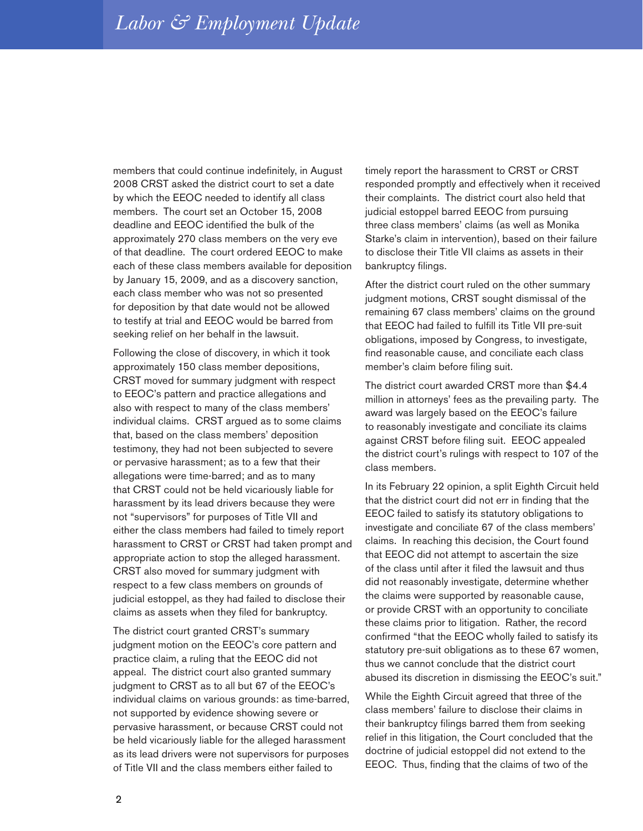members that could continue indefinitely, in August 2008 CRST asked the district court to set a date by which the EEOC needed to identify all class members. The court set an October 15, 2008 deadline and EEOC identified the bulk of the approximately 270 class members on the very eve of that deadline. The court ordered EEOC to make each of these class members available for deposition by January 15, 2009, and as a discovery sanction, each class member who was not so presented for deposition by that date would not be allowed to testify at trial and EEOC would be barred from seeking relief on her behalf in the lawsuit.

Following the close of discovery, in which it took approximately 150 class member depositions, CRST moved for summary judgment with respect to EEOC's pattern and practice allegations and also with respect to many of the class members' individual claims. CRST argued as to some claims that, based on the class members' deposition testimony, they had not been subjected to severe or pervasive harassment; as to a few that their allegations were time-barred; and as to many that CRST could not be held vicariously liable for harassment by its lead drivers because they were not "supervisors" for purposes of Title VII and either the class members had failed to timely report harassment to CRST or CRST had taken prompt and appropriate action to stop the alleged harassment. CRST also moved for summary judgment with respect to a few class members on grounds of judicial estoppel, as they had failed to disclose their claims as assets when they filed for bankruptcy.

The district court granted CRST's summary judgment motion on the EEOC's core pattern and practice claim, a ruling that the EEOC did not appeal. The district court also granted summary judgment to CRST as to all but 67 of the EEOC's individual claims on various grounds: as time-barred, not supported by evidence showing severe or pervasive harassment, or because CRST could not be held vicariously liable for the alleged harassment as its lead drivers were not supervisors for purposes of Title VII and the class members either failed to

timely report the harassment to CRST or CRST responded promptly and effectively when it received their complaints. The district court also held that judicial estoppel barred EEOC from pursuing three class members' claims (as well as Monika Starke's claim in intervention), based on their failure to disclose their Title VII claims as assets in their bankruptcy filings.

After the district court ruled on the other summary judgment motions, CRST sought dismissal of the remaining 67 class members' claims on the ground that EEOC had failed to fulfill its Title VII pre-suit obligations, imposed by Congress, to investigate, find reasonable cause, and conciliate each class member's claim before filing suit.

The district court awarded CRST more than \$4.4 million in attorneys' fees as the prevailing party. The award was largely based on the EEOC's failure to reasonably investigate and conciliate its claims against CRST before filing suit. EEOC appealed the district court's rulings with respect to 107 of the class members.

In its February 22 opinion, a split Eighth Circuit held that the district court did not err in finding that the EEOC failed to satisfy its statutory obligations to investigate and conciliate 67 of the class members' claims. In reaching this decision, the Court found that EEOC did not attempt to ascertain the size of the class until after it filed the lawsuit and thus did not reasonably investigate, determine whether the claims were supported by reasonable cause, or provide CRST with an opportunity to conciliate these claims prior to litigation. Rather, the record confirmed "that the EEOC wholly failed to satisfy its statutory pre-suit obligations as to these 67 women, thus we cannot conclude that the district court abused its discretion in dismissing the EEOC's suit."

While the Eighth Circuit agreed that three of the class members' failure to disclose their claims in their bankruptcy filings barred them from seeking relief in this litigation, the Court concluded that the doctrine of judicial estoppel did not extend to the EEOC. Thus, finding that the claims of two of the